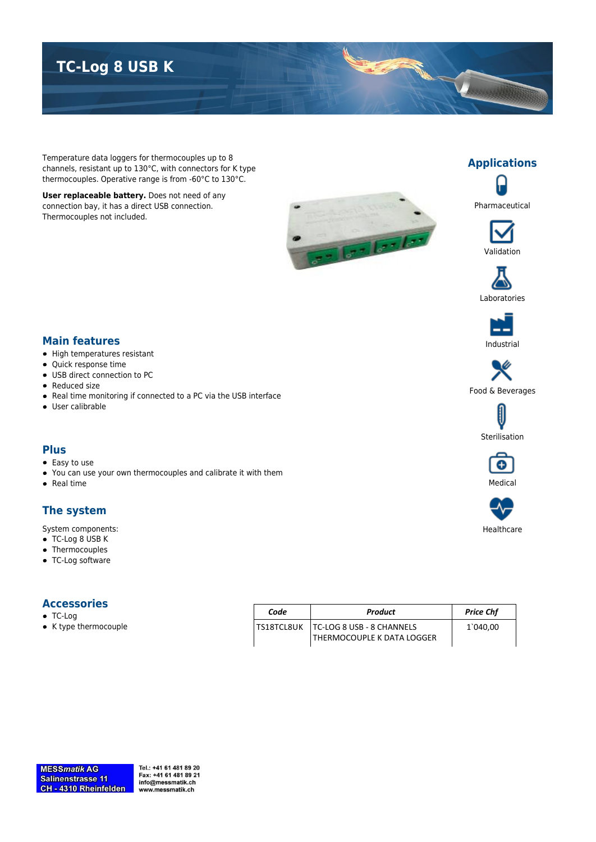## **TC-Log 8 USB K**

Temperature data loggers for thermocouples up to 8 channels, resistant up to 130°C, with connectors for K type thermocouples. Operative range is from -60°C to 130°C.

**User replaceable battery.** Does not need of any connection bay, it has a direct USB connection. Thermocouples not included.





Pharmaceutical

**Applications**







# Food & Beverages







Healthcare

#### **Main features**

- High temperatures resistant
- Quick response time
- USB direct connection to PC
- Reduced size
- Real time monitoring if connected to a PC via the USB interface
- User calibrable

#### **Plus**

- Easy to use
- You can use your own thermocouples and calibrate it with them
- $\bullet$  Real time

#### **The system**

System components:

- TC-Log 8 USB K
- Thermocouples
- TC-Log software

#### **Accessories**

- TC-Log
- K type thermocouple

| Code | Product                                | <b>Price Chf</b> |
|------|----------------------------------------|------------------|
|      | TS18TCL8UK   TC-LOG 8 USB - 8 CHANNELS | 1`040,00         |
|      | THERMOCOUPLE K DATA LOGGER             |                  |

Tel.: +41 61 481 89 20 Fax: +41 61 481 89 21 info@messmatik.ch www.messmatik.ch